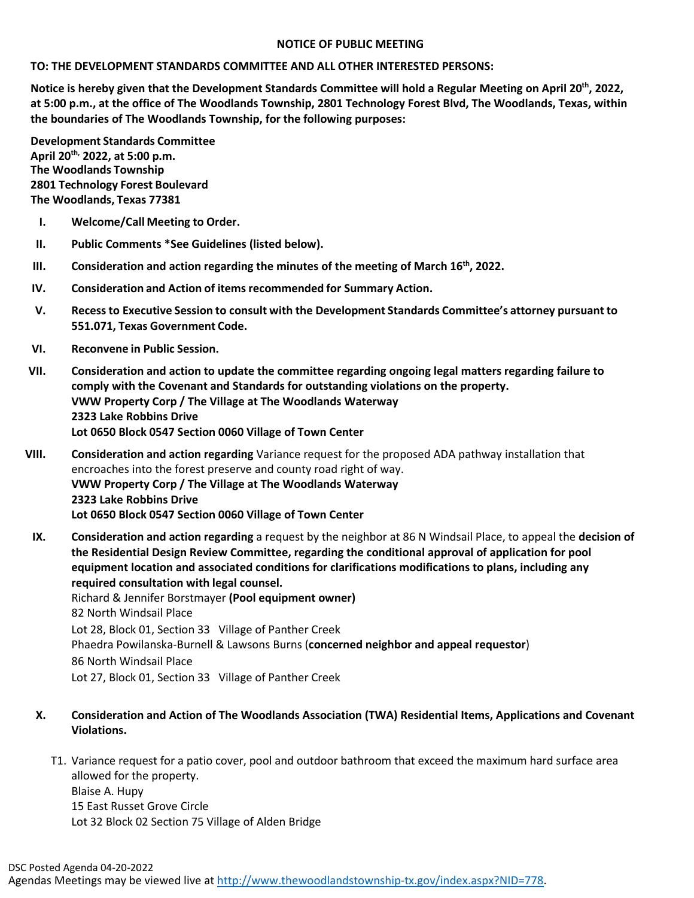## **NOTICE OF PUBLIC MEETING**

## **TO: THE DEVELOPMENT STANDARDS COMMITTEE AND ALL OTHER INTERESTED PERSONS:**

**Notice is hereby given that the Development Standards Committee will hold a Regular Meeting on April 20th, 2022, at 5:00 p.m., at the office of The Woodlands Township, 2801 Technology Forest Blvd, The Woodlands, Texas, within the boundaries of The Woodlands Township, for the following purposes:**

**Development Standards Committee April 20th, 2022, at 5:00 p.m. The Woodlands Township 2801 Technology Forest Boulevard The Woodlands, Texas 77381**

- **I. Welcome/Call Meeting to Order.**
- **II. Public Comments \*See Guidelines (listed below).**
- **III. Consideration and action regarding the minutes of the meeting of March 16th, 2022.**
- **IV. Consideration and Action of items recommended for Summary Action.**
- **V. Recessto Executive Session to consult with the Development Standards Committee's attorney pursuant to 551.071, Texas Government Code.**
- **VI. Reconvene in Public Session.**
- **VII. Consideration and action to update the committee regarding ongoing legal matters regarding failure to comply with the Covenant and Standards for outstanding violations on the property. VWW Property Corp / The Village at The Woodlands Waterway 2323 Lake Robbins Drive Lot 0650 Block 0547 Section 0060 Village of Town Center**
- **VIII. Consideration and action regarding** Variance request for the proposed ADA pathway installation that encroaches into the forest preserve and county road right of way. **VWW Property Corp / The Village at The Woodlands Waterway 2323 Lake Robbins Drive Lot 0650 Block 0547 Section 0060 Village of Town Center**
	- **IX. Consideration and action regarding** a request by the neighbor at 86 N Windsail Place, to appeal the **decision of the Residential Design Review Committee, regarding the conditional approval of application for pool equipment location and associated conditions for clarifications modifications to plans, including any required consultation with legal counsel.**  Richard & Jennifer Borstmayer **(Pool equipment owner)** 82 North Windsail Place Lot 28, Block 01, Section 33 Village of Panther Creek Phaedra Powilanska-Burnell & Lawsons Burns (**concerned neighbor and appeal requestor**) 86 North Windsail Place Lot 27, Block 01, Section 33 Village of Panther Creek
	- **X. Consideration and Action of The Woodlands Association (TWA) Residential Items, Applications and Covenant Violations.**
		- T1. Variance request for a patio cover, pool and outdoor bathroom that exceed the maximum hard surface area allowed for the property. Blaise A. Hupy 15 East Russet Grove Circle Lot 32 Block 02 Section 75 Village of Alden Bridge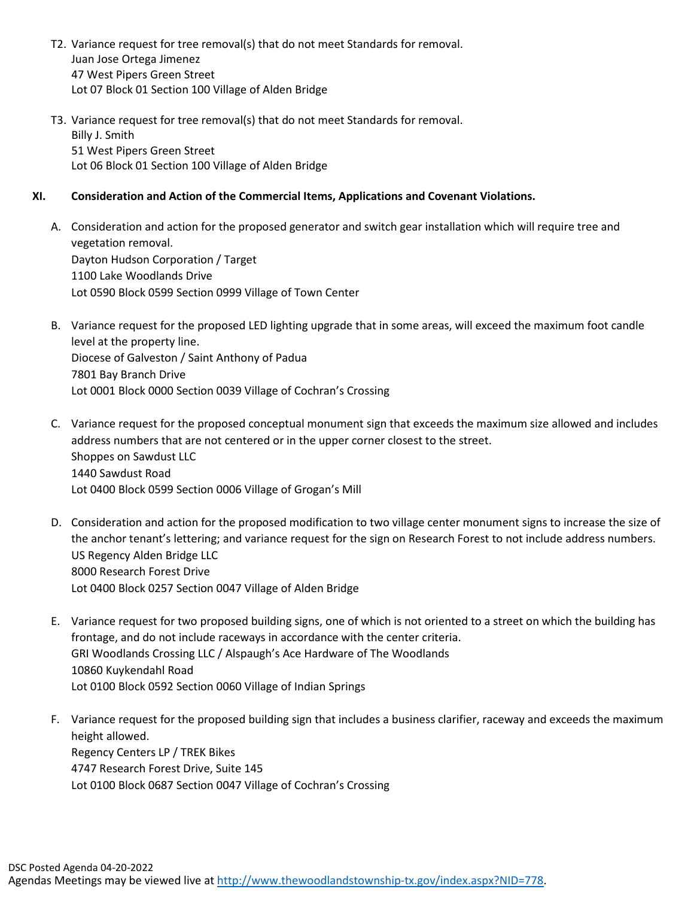- T2. Variance request for tree removal(s) that do not meet Standards for removal. Juan Jose Ortega Jimenez 47 West Pipers Green Street Lot 07 Block 01 Section 100 Village of Alden Bridge
- T3. Variance request for tree removal(s) that do not meet Standards for removal. Billy J. Smith 51 West Pipers Green Street Lot 06 Block 01 Section 100 Village of Alden Bridge

## **XI. Consideration and Action of the Commercial Items, Applications and Covenant Violations.**

- A. Consideration and action for the proposed generator and switch gear installation which will require tree and vegetation removal. Dayton Hudson Corporation / Target 1100 Lake Woodlands Drive Lot 0590 Block 0599 Section 0999 Village of Town Center
- B. Variance request for the proposed LED lighting upgrade that in some areas, will exceed the maximum foot candle level at the property line. Diocese of Galveston / Saint Anthony of Padua 7801 Bay Branch Drive Lot 0001 Block 0000 Section 0039 Village of Cochran's Crossing
- C. Variance request for the proposed conceptual monument sign that exceeds the maximum size allowed and includes address numbers that are not centered or in the upper corner closest to the street. Shoppes on Sawdust LLC 1440 Sawdust Road Lot 0400 Block 0599 Section 0006 Village of Grogan's Mill
- D. Consideration and action for the proposed modification to two village center monument signs to increase the size of the anchor tenant's lettering; and variance request for the sign on Research Forest to not include address numbers. US Regency Alden Bridge LLC 8000 Research Forest Drive Lot 0400 Block 0257 Section 0047 Village of Alden Bridge
- E. Variance request for two proposed building signs, one of which is not oriented to a street on which the building has frontage, and do not include raceways in accordance with the center criteria. GRI Woodlands Crossing LLC / Alspaugh's Ace Hardware of The Woodlands 10860 Kuykendahl Road Lot 0100 Block 0592 Section 0060 Village of Indian Springs
- F. Variance request for the proposed building sign that includes a business clarifier, raceway and exceeds the maximum height allowed. Regency Centers LP / TREK Bikes 4747 Research Forest Drive, Suite 145 Lot 0100 Block 0687 Section 0047 Village of Cochran's Crossing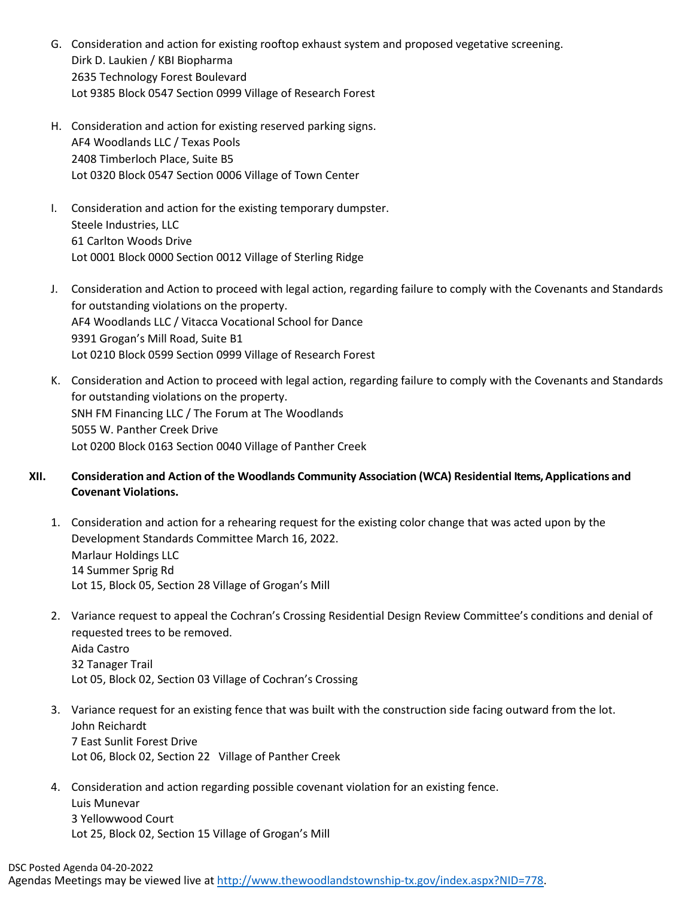- G. Consideration and action for existing rooftop exhaust system and proposed vegetative screening. Dirk D. Laukien / KBI Biopharma 2635 Technology Forest Boulevard Lot 9385 Block 0547 Section 0999 Village of Research Forest
- H. Consideration and action for existing reserved parking signs. AF4 Woodlands LLC / Texas Pools 2408 Timberloch Place, Suite B5 Lot 0320 Block 0547 Section 0006 Village of Town Center
- I. Consideration and action for the existing temporary dumpster. Steele Industries, LLC 61 Carlton Woods Drive Lot 0001 Block 0000 Section 0012 Village of Sterling Ridge
- J. Consideration and Action to proceed with legal action, regarding failure to comply with the Covenants and Standards for outstanding violations on the property. AF4 Woodlands LLC / Vitacca Vocational School for Dance 9391 Grogan's Mill Road, Suite B1 Lot 0210 Block 0599 Section 0999 Village of Research Forest
- K. Consideration and Action to proceed with legal action, regarding failure to comply with the Covenants and Standards for outstanding violations on the property. SNH FM Financing LLC / The Forum at The Woodlands 5055 W. Panther Creek Drive Lot 0200 Block 0163 Section 0040 Village of Panther Creek
- **XII. Consideration and Action of the Woodlands Community Association (WCA) Residential Items, Applications and Covenant Violations.**
	- 1. Consideration and action for a rehearing request for the existing color change that was acted upon by the Development Standards Committee March 16, 2022. Marlaur Holdings LLC 14 Summer Sprig Rd Lot 15, Block 05, Section 28 Village of Grogan's Mill
	- 2. Variance request to appeal the Cochran's Crossing Residential Design Review Committee's conditions and denial of requested trees to be removed. Aida Castro 32 Tanager Trail Lot 05, Block 02, Section 03 Village of Cochran's Crossing
	- 3. Variance request for an existing fence that was built with the construction side facing outward from the lot. John Reichardt 7 East Sunlit Forest Drive Lot 06, Block 02, Section 22 Village of Panther Creek
	- 4. Consideration and action regarding possible covenant violation for an existing fence. Luis Munevar 3 Yellowwood Court Lot 25, Block 02, Section 15 Village of Grogan's Mill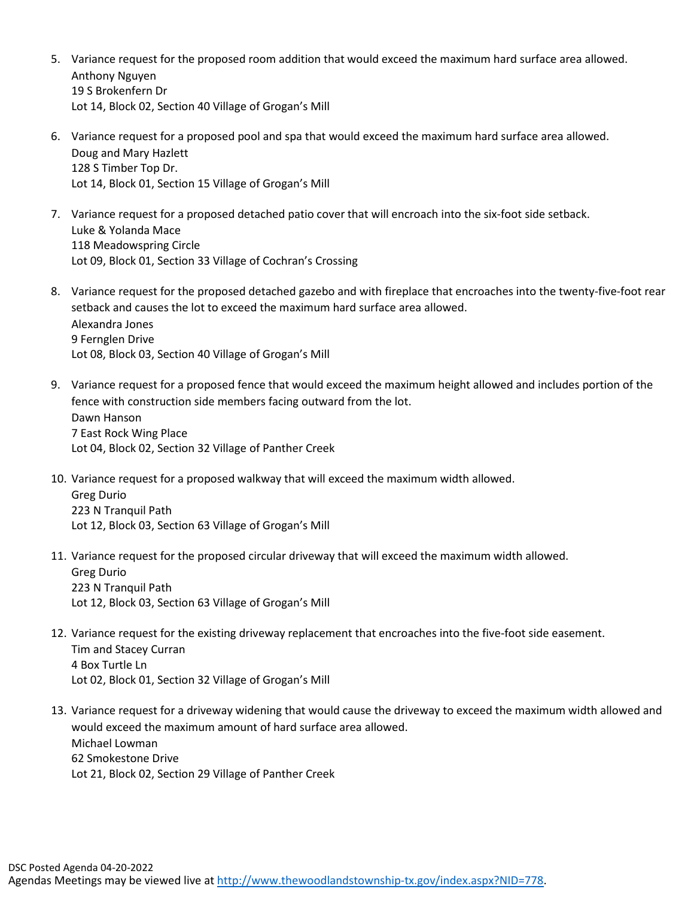- 5. Variance request for the proposed room addition that would exceed the maximum hard surface area allowed. Anthony Nguyen 19 S Brokenfern Dr Lot 14, Block 02, Section 40 Village of Grogan's Mill
- 6. Variance request for a proposed pool and spa that would exceed the maximum hard surface area allowed. Doug and Mary Hazlett 128 S Timber Top Dr. Lot 14, Block 01, Section 15 Village of Grogan's Mill
- 7. Variance request for a proposed detached patio cover that will encroach into the six-foot side setback. Luke & Yolanda Mace 118 Meadowspring Circle Lot 09, Block 01, Section 33 Village of Cochran's Crossing
- 8. Variance request for the proposed detached gazebo and with fireplace that encroaches into the twenty-five-foot rear setback and causes the lot to exceed the maximum hard surface area allowed. Alexandra Jones 9 Fernglen Drive Lot 08, Block 03, Section 40 Village of Grogan's Mill
- 9. Variance request for a proposed fence that would exceed the maximum height allowed and includes portion of the fence with construction side members facing outward from the lot. Dawn Hanson 7 East Rock Wing Place Lot 04, Block 02, Section 32 Village of Panther Creek
- 10. Variance request for a proposed walkway that will exceed the maximum width allowed. Greg Durio

223 N Tranquil Path Lot 12, Block 03, Section 63 Village of Grogan's Mill

11. Variance request for the proposed circular driveway that will exceed the maximum width allowed. Greg Durio

223 N Tranquil Path Lot 12, Block 03, Section 63 Village of Grogan's Mill

- 12. Variance request for the existing driveway replacement that encroaches into the five-foot side easement. Tim and Stacey Curran 4 Box Turtle Ln Lot 02, Block 01, Section 32 Village of Grogan's Mill
- 13. Variance request for a driveway widening that would cause the driveway to exceed the maximum width allowed and would exceed the maximum amount of hard surface area allowed. Michael Lowman 62 Smokestone Drive Lot 21, Block 02, Section 29 Village of Panther Creek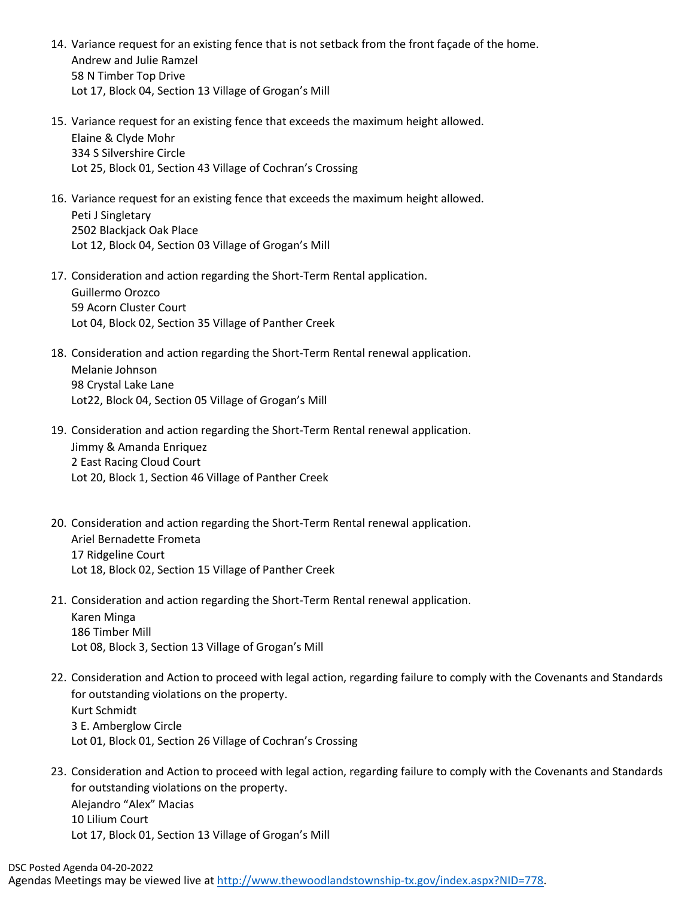- 14. Variance request for an existing fence that is not setback from the front façade of the home. Andrew and Julie Ramzel 58 N Timber Top Drive Lot 17, Block 04, Section 13 Village of Grogan's Mill
- 15. Variance request for an existing fence that exceeds the maximum height allowed. Elaine & Clyde Mohr 334 S Silvershire Circle Lot 25, Block 01, Section 43 Village of Cochran's Crossing
- 16. Variance request for an existing fence that exceeds the maximum height allowed. Peti J Singletary 2502 Blackjack Oak Place Lot 12, Block 04, Section 03 Village of Grogan's Mill
- 17. Consideration and action regarding the Short-Term Rental application. Guillermo Orozco 59 Acorn Cluster Court Lot 04, Block 02, Section 35 Village of Panther Creek
- 18. Consideration and action regarding the Short-Term Rental renewal application. Melanie Johnson 98 Crystal Lake Lane Lot22, Block 04, Section 05 Village of Grogan's Mill
- 19. Consideration and action regarding the Short-Term Rental renewal application. Jimmy & Amanda Enriquez 2 East Racing Cloud Court Lot 20, Block 1, Section 46 Village of Panther Creek
- 20. Consideration and action regarding the Short-Term Rental renewal application. Ariel Bernadette Frometa 17 Ridgeline Court Lot 18, Block 02, Section 15 Village of Panther Creek
- 21. Consideration and action regarding the Short-Term Rental renewal application. Karen Minga 186 Timber Mill Lot 08, Block 3, Section 13 Village of Grogan's Mill
- 22. Consideration and Action to proceed with legal action, regarding failure to comply with the Covenants and Standards for outstanding violations on the property. Kurt Schmidt 3 E. Amberglow Circle Lot 01, Block 01, Section 26 Village of Cochran's Crossing
- 23. Consideration and Action to proceed with legal action, regarding failure to comply with the Covenants and Standards for outstanding violations on the property. Alejandro "Alex" Macias 10 Lilium Court Lot 17, Block 01, Section 13 Village of Grogan's Mill